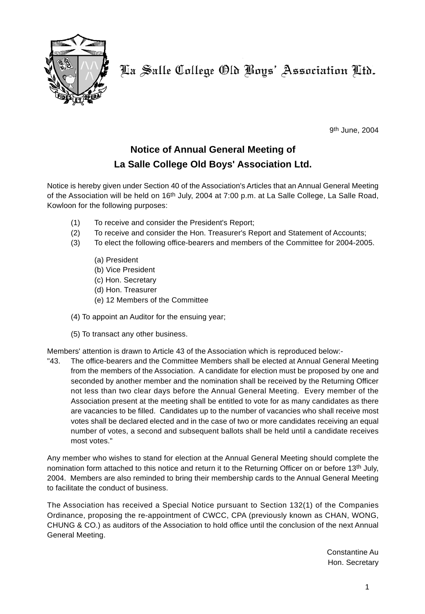

9th June, 2004

# **Notice of Annual General Meeting of La Salle College Old Boys' Association Ltd.**

Notice is hereby given under Section 40 of the Association's Articles that an Annual General Meeting of the Association will be held on 16th July, 2004 at 7:00 p.m. at La Salle College, La Salle Road, Kowloon for the following purposes:

- (1) To receive and consider the President's Report;
- (2) To receive and consider the Hon. Treasurer's Report and Statement of Accounts;
- (3) To elect the following office-bearers and members of the Committee for 2004-2005.
	- (a) President
	- (b) Vice President
	- (c) Hon. Secretary
	- (d) Hon. Treasurer
	- (e) 12 Members of the Committee
- (4) To appoint an Auditor for the ensuing year;
- (5) To transact any other business.

Members' attention is drawn to Article 43 of the Association which is reproduced below:-

"43. The office-bearers and the Committee Members shall be elected at Annual General Meeting from the members of the Association. A candidate for election must be proposed by one and seconded by another member and the nomination shall be received by the Returning Officer not less than two clear days before the Annual General Meeting. Every member of the Association present at the meeting shall be entitled to vote for as many candidates as there are vacancies to be filled. Candidates up to the number of vacancies who shall receive most votes shall be declared elected and in the case of two or more candidates receiving an equal number of votes, a second and subsequent ballots shall be held until a candidate receives most votes."

Any member who wishes to stand for election at the Annual General Meeting should complete the nomination form attached to this notice and return it to the Returning Officer on or before 13th July, 2004. Members are also reminded to bring their membership cards to the Annual General Meeting to facilitate the conduct of business.

The Association has received a Special Notice pursuant to Section 132(1) of the Companies Ordinance, proposing the re-appointment of CWCC, CPA (previously known as CHAN, WONG, CHUNG & CO.) as auditors of the Association to hold office until the conclusion of the next Annual General Meeting.

> Constantine Au Hon. Secretary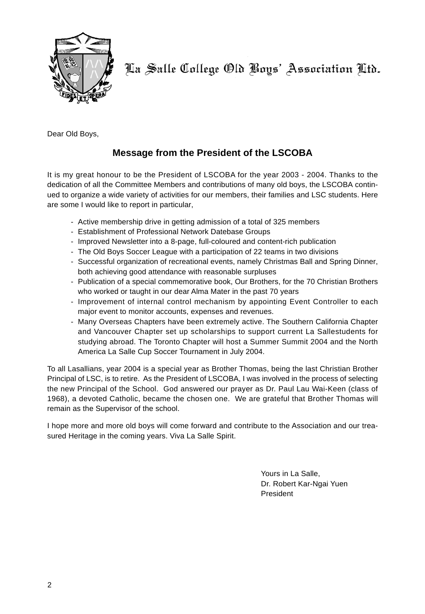

Dear Old Boys,

# **Message from the President of the LSCOBA**

It is my great honour to be the President of LSCOBA for the year 2003 - 2004. Thanks to the dedication of all the Committee Members and contributions of many old boys, the LSCOBA continued to organize a wide variety of activities for our members, their families and LSC students. Here are some I would like to report in particular,

- Active membership drive in getting admission of a total of 325 members
- Establishment of Professional Network Datebase Groups
- Improved Newsletter into a 8-page, full-coloured and content-rich publication
- The Old Boys Soccer League with a participation of 22 teams in two divisions
- Successful organization of recreational events, namely Christmas Ball and Spring Dinner, both achieving good attendance with reasonable surpluses
- Publication of a special commemorative book, Our Brothers, for the 70 Christian Brothers who worked or taught in our dear Alma Mater in the past 70 years
- Improvement of internal control mechanism by appointing Event Controller to each major event to monitor accounts, expenses and revenues.
- Many Overseas Chapters have been extremely active. The Southern California Chapter and Vancouver Chapter set up scholarships to support current La Sallestudents for studying abroad. The Toronto Chapter will host a Summer Summit 2004 and the North America La Salle Cup Soccer Tournament in July 2004.

To all Lasallians, year 2004 is a special year as Brother Thomas, being the last Christian Brother Principal of LSC, is to retire. As the President of LSCOBA, I was involved in the process of selecting the new Principal of the School. God answered our prayer as Dr. Paul Lau Wai-Keen (class of 1968), a devoted Catholic, became the chosen one. We are grateful that Brother Thomas will remain as the Supervisor of the school.

I hope more and more old boys will come forward and contribute to the Association and our treasured Heritage in the coming years. Viva La Salle Spirit.

> Yours in La Salle, Dr. Robert Kar-Ngai Yuen President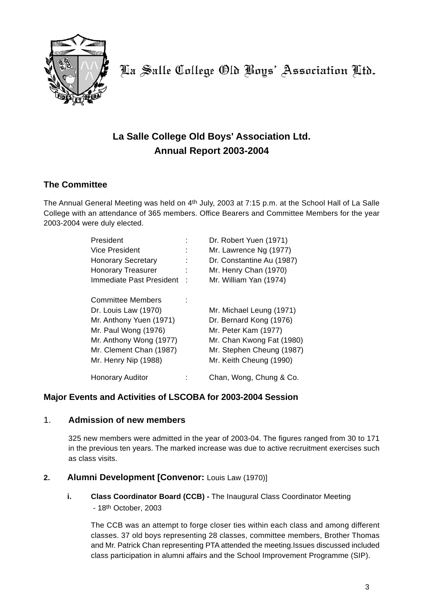

# **La Salle College Old Boys' Association Ltd. Annual Report 2003-2004**

### **The Committee**

The Annual General Meeting was held on 4th July, 2003 at 7:15 p.m. at the School Hall of La Salle College with an attendance of 365 members. Office Bearers and Committee Members for the year 2003-2004 were duly elected.

| President                 |   | Dr. Robert Yuen (1971)    |
|---------------------------|---|---------------------------|
| Vice President            |   | Mr. Lawrence Ng (1977)    |
| <b>Honorary Secretary</b> |   | Dr. Constantine Au (1987) |
| <b>Honorary Treasurer</b> |   | Mr. Henry Chan (1970)     |
| Immediate Past President  | t | Mr. William Yan (1974)    |
| <b>Committee Members</b>  |   |                           |
| Dr. Louis Law (1970)      |   | Mr. Michael Leung (1971)  |
| Mr. Anthony Yuen (1971)   |   | Dr. Bernard Kong (1976)   |
| Mr. Paul Wong (1976)      |   | Mr. Peter Kam (1977)      |
| Mr. Anthony Wong (1977)   |   | Mr. Chan Kwong Fat (1980) |
| Mr. Clement Chan (1987)   |   | Mr. Stephen Cheung (1987) |
| Mr. Henry Nip (1988)      |   | Mr. Keith Cheung (1990)   |
| <b>Honorary Auditor</b>   |   | Chan, Wong, Chung & Co.   |

### **Major Events and Activities of LSCOBA for 2003-2004 Session**

### 1. **Admission of new members**

325 new members were admitted in the year of 2003-04. The figures ranged from 30 to 171 in the previous ten years. The marked increase was due to active recruitment exercises such as class visits.

### **2. Alumni Development [Convenor:** Louis Law (1970)]

**i.** Class Coordinator Board (CCB) - The Inaugural Class Coordinator Meeting - 18th October, 2003

The CCB was an attempt to forge closer ties within each class and among different classes. 37 old boys representing 28 classes, committee members, Brother Thomas and Mr. Patrick Chan representing PTA attended the meeting.Issues discussed included class participation in alumni affairs and the School Improvement Programme (SIP).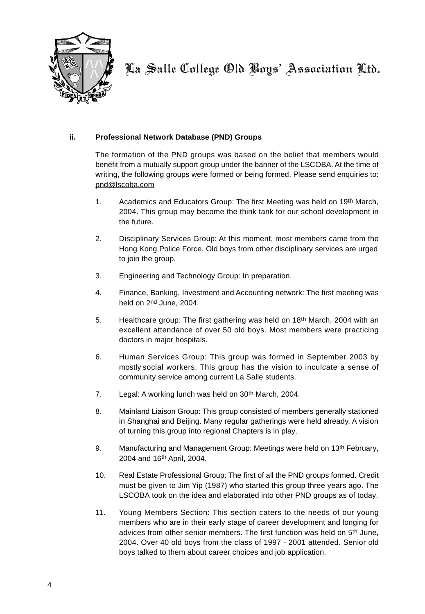

#### **ii. Professional Network Database (PND) Groups**

The formation of the PND groups was based on the belief that members would benefit from a mutually support group under the banner of the LSCOBA. At the time of writing, the following groups were formed or being formed. Please send enquiries to: pnd@lscoba.com

- 1. Academics and Educators Group: The first Meeting was held on 19th March, 2004. This group may become the think tank for our school development in the future.
- 2. Disciplinary Services Group: At this moment, most members came from the Hong Kong Police Force. Old boys from other disciplinary services are urged to join the group.
- 3. Engineering and Technology Group: In preparation.
- 4. Finance, Banking, Investment and Accounting network: The first meeting was held on 2nd June, 2004.
- 5. Healthcare group: The first gathering was held on 18th March, 2004 with an excellent attendance of over 50 old boys. Most members were practicing doctors in major hospitals.
- 6. Human Services Group: This group was formed in September 2003 by mostly social workers. This group has the vision to inculcate a sense of community service among current La Salle students.
- 7. Legal: A working lunch was held on 30<sup>th</sup> March, 2004.
- 8. Mainland Liaison Group: This group consisted of members generally stationed in Shanghai and Beijing. Many regular gatherings were held already. A vision of turning this group into regional Chapters is in play.
- 9. Manufacturing and Management Group: Meetings were held on 13th February, 2004 and 16th April, 2004.
- 10. Real Estate Professional Group: The first of all the PND groups formed. Credit must be given to Jim Yip (1987) who started this group three years ago. The LSCOBA took on the idea and elaborated into other PND groups as of today.
- 11. Young Members Section: This section caters to the needs of our young members who are in their early stage of career development and longing for advices from other senior members. The first function was held on 5th June, 2004. Over 40 old boys from the class of 1997 - 2001 attended. Senior old boys talked to them about career choices and job application.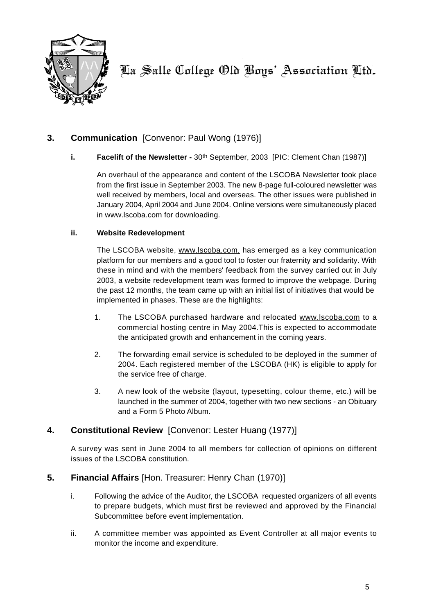

### **3. Communication** [Convenor: Paul Wong (1976)]

#### **i.** Facelift of the Newsletter - 30<sup>th</sup> September, 2003 [PIC: Clement Chan (1987)]

An overhaul of the appearance and content of the LSCOBA Newsletter took place from the first issue in September 2003. The new 8-page full-coloured newsletter was well received by members, local and overseas. The other issues were published in January 2004, April 2004 and June 2004. Online versions were simultaneously placed in www.lscoba.com for downloading.

#### **ii. Website Redevelopment**

The LSCOBA website, www.lscoba.com, has emerged as a key communication platform for our members and a good tool to foster our fraternity and solidarity. With these in mind and with the members' feedback from the survey carried out in July 2003, a website redevelopment team was formed to improve the webpage. During the past 12 months, the team came up with an initial list of initiatives that would be implemented in phases. These are the highlights:

- 1. The LSCOBA purchased hardware and relocated www.lscoba.com to a commercial hosting centre in May 2004.This is expected to accommodate the anticipated growth and enhancement in the coming years.
- 2. The forwarding email service is scheduled to be deployed in the summer of 2004. Each registered member of the LSCOBA (HK) is eligible to apply for the service free of charge.
- 3. A new look of the website (layout, typesetting, colour theme, etc.) will be launched in the summer of 2004, together with two new sections - an Obituary and a Form 5 Photo Album.

### **4. Constitutional Review** [Convenor: Lester Huang (1977)]

A survey was sent in June 2004 to all members for collection of opinions on different issues of the LSCOBA constitution.

### **5. Financial Affairs** [Hon. Treasurer: Henry Chan (1970)]

- i. Following the advice of the Auditor, the LSCOBA requested organizers of all events to prepare budgets, which must first be reviewed and approved by the Financial Subcommittee before event implementation.
- ii. A committee member was appointed as Event Controller at all major events to monitor the income and expenditure.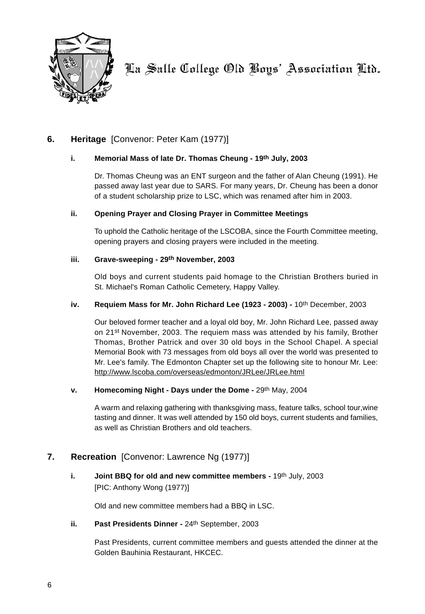

### **6. Heritage** [Convenor: Peter Kam (1977)]

#### **i. Memorial Mass of late Dr. Thomas Cheung - 19th July, 2003**

Dr. Thomas Cheung was an ENT surgeon and the father of Alan Cheung (1991). He passed away last year due to SARS. For many years, Dr. Cheung has been a donor of a student scholarship prize to LSC, which was renamed after him in 2003.

#### **ii. Opening Prayer and Closing Prayer in Committee Meetings**

To uphold the Catholic heritage of the LSCOBA, since the Fourth Committee meeting, opening prayers and closing prayers were included in the meeting.

#### **iii. Grave-sweeping - 29th November, 2003**

Old boys and current students paid homage to the Christian Brothers buried in St. Michael's Roman Catholic Cemetery, Happy Valley.

#### **iv. Requiem Mass for Mr. John Richard Lee (1923 - 2003) -** 10th December, 2003

Our beloved former teacher and a loyal old boy, Mr. John Richard Lee, passed away on 21st November, 2003. The requiem mass was attended by his family, Brother Thomas, Brother Patrick and over 30 old boys in the School Chapel. A special Memorial Book with 73 messages from old boys all over the world was presented to Mr. Lee's family. The Edmonton Chapter set up the following site to honour Mr. Lee: http://www.lscoba.com/overseas/edmonton/JRLee/JRLee.html

#### **v.** Homecoming Night - Days under the Dome - 29<sup>th</sup> May, 2004

A warm and relaxing gathering with thanksgiving mass, feature talks, school tour,wine tasting and dinner. It was well attended by 150 old boys, current students and families, as well as Christian Brothers and old teachers.

### **7. Recreation** [Convenor: Lawrence Ng (1977)]

**i. Joint BBQ for old and new committee members - 19th July, 2003** [PIC: Anthony Wong (1977)]

Old and new committee members had a BBQ in LSC.

**ii.** Past Presidents Dinner - 24<sup>th</sup> September, 2003

Past Presidents, current committee members and guests attended the dinner at the Golden Bauhinia Restaurant, HKCEC.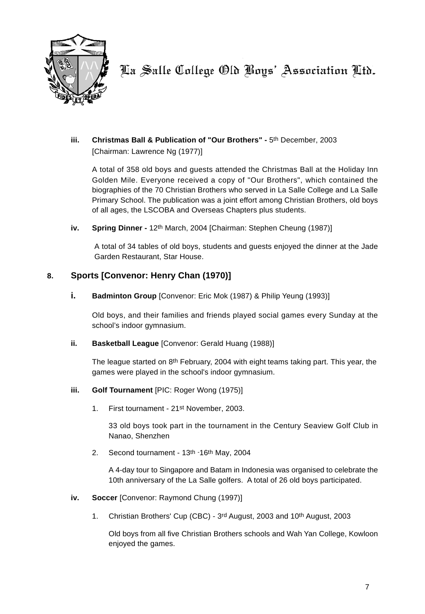

**iii.** Christmas Ball & Publication of "Our Brothers" - 5th December, 2003 [Chairman: Lawrence Ng (1977)]

A total of 358 old boys and guests attended the Christmas Ball at the Holiday Inn Golden Mile. Everyone received a copy of "Our Brothers", which contained the biographies of the 70 Christian Brothers who served in La Salle College and La Salle Primary School. The publication was a joint effort among Christian Brothers, old boys of all ages, the LSCOBA and Overseas Chapters plus students.

**iv.** Spring Dinner - 12<sup>th</sup> March, 2004 [Chairman: Stephen Cheung (1987)]

A total of 34 tables of old boys, students and guests enjoyed the dinner at the Jade Garden Restaurant, Star House.

### **8. Sports [Convenor: Henry Chan (1970)]**

**i. Badminton Group** [Convenor: Eric Mok (1987) & Philip Yeung (1993)]

Old boys, and their families and friends played social games every Sunday at the school's indoor gymnasium.

**ii. Basketball League** [Convenor: Gerald Huang (1988)]

The league started on 8th February, 2004 with eight teams taking part. This year, the games were played in the school's indoor gymnasium.

#### **iii. Golf Tournament** [PIC: Roger Wong (1975)]

1. First tournament - 21st November, 2003.

33 old boys took part in the tournament in the Century Seaview Golf Club in Nanao, Shenzhen

2. Second tournament - 13<sup>th -16th</sup> May, 2004

A 4-day tour to Singapore and Batam in Indonesia was organised to celebrate the 10th anniversary of the La Salle golfers. A total of 26 old boys participated.

#### **iv. Soccer** [Convenor: Raymond Chung (1997)]

1. Christian Brothers' Cup (CBC) - 3rd August, 2003 and 10th August, 2003

Old boys from all five Christian Brothers schools and Wah Yan College, Kowloon enjoyed the games.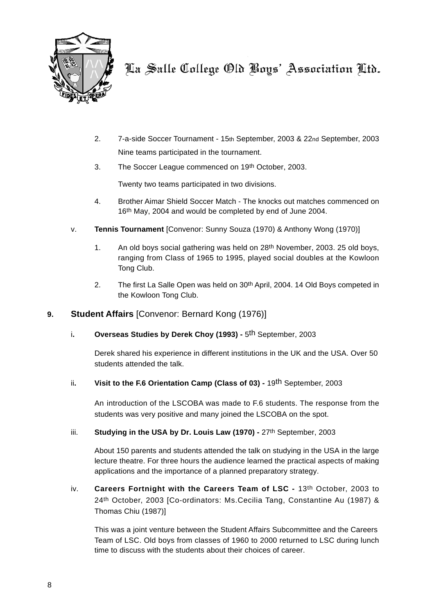

- 2. 7-a-side Soccer Tournament 15th September, 2003 & 22nd September, 2003 Nine teams participated in the tournament.
- 3. The Soccer League commenced on 19th October, 2003.

Twenty two teams participated in two divisions.

- 4. Brother Aimar Shield Soccer Match The knocks out matches commenced on 16th May, 2004 and would be completed by end of June 2004.
- v. **Tennis Tournament** [Convenor: Sunny Souza (1970) & Anthony Wong (1970)]
	- 1. An old boys social gathering was held on 28th November, 2003. 25 old boys, ranging from Class of 1965 to 1995, played social doubles at the Kowloon Tong Club.
	- 2. The first La Salle Open was held on 30<sup>th</sup> April, 2004. 14 Old Boys competed in the Kowloon Tong Club.

### **9. Student Affairs** [Convenor: Bernard Kong (1976)]

i**. Overseas Studies by Derek Choy (1993) -** 5th September, 2003

Derek shared his experience in different institutions in the UK and the USA. Over 50 students attended the talk.

ii**. Visit to the F.6 Orientation Camp (Class of 03) -** 19th September, 2003

An introduction of the LSCOBA was made to F.6 students. The response from the students was very positive and many joined the LSCOBA on the spot.

iii. **Studying in the USA by Dr. Louis Law (1970)** - 27<sup>th</sup> September, 2003

About 150 parents and students attended the talk on studying in the USA in the large lecture theatre. For three hours the audience learned the practical aspects of making applications and the importance of a planned preparatory strategy.

iv. **Careers Fortnight with the Careers Team of LSC -** 13th October, 2003 to 24th October, 2003 [Co-ordinators: Ms.Cecilia Tang, Constantine Au (1987) & Thomas Chiu (1987)]

This was a joint venture between the Student Affairs Subcommittee and the Careers Team of LSC. Old boys from classes of 1960 to 2000 returned to LSC during lunch time to discuss with the students about their choices of career.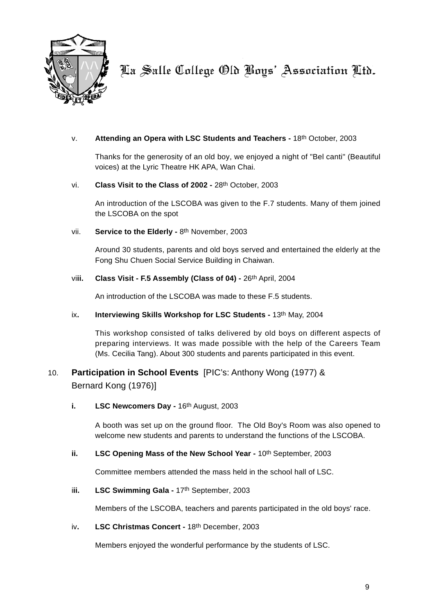

#### v. **Attending an Opera with LSC Students and Teachers -** 18th October, 2003

Thanks for the generosity of an old boy, we enjoyed a night of "Bel canti" (Beautiful voices) at the Lyric Theatre HK APA, Wan Chai.

#### vi. **Class Visit to the Class of 2002 -** 28th October, 2003

An introduction of the LSCOBA was given to the F.7 students. Many of them joined the LSCOBA on the spot

#### vii. **Service to the Elderly -** 8th November, 2003

Around 30 students, parents and old boys served and entertained the elderly at the Fong Shu Chuen Social Service Building in Chaiwan.

#### vi**ii. Class Visit - F.5 Assembly (Class of 04) -** 26th April, 2004

An introduction of the LSCOBA was made to these F.5 students.

#### ix. **Interviewing Skills Workshop for LSC Students - 13th May, 2004**

This workshop consisted of talks delivered by old boys on different aspects of preparing interviews. It was made possible with the help of the Careers Team (Ms. Cecilia Tang). About 300 students and parents participated in this event.

### 10. **Participation in School Events** [PIC's: Anthony Wong (1977) & Bernard Kong (1976)]

**i.** LSC Newcomers Day - 16th August, 2003

A booth was set up on the ground floor. The Old Boy's Room was also opened to welcome new students and parents to understand the functions of the LSCOBA.

#### ii. **LSC Opening Mass of the New School Year - 10th September, 2003**

Committee members attended the mass held in the school hall of LSC.

#### i**ii. LSC Swimming Gala -** 17th September, 2003

Members of the LSCOBA, teachers and parents participated in the old boys' race.

#### iv**. LSC Christmas Concert -** 18th December, 2003

Members enjoyed the wonderful performance by the students of LSC.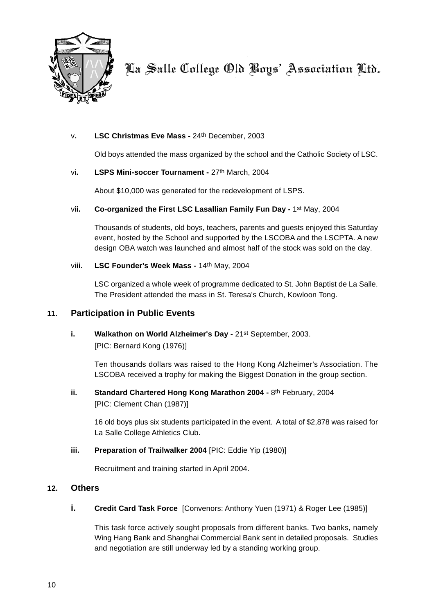

#### v**. LSC Christmas Eve Mass -** 24th December, 2003

Old boys attended the mass organized by the school and the Catholic Society of LSC.

#### vi**. LSPS Mini-soccer Tournament -** 27th March, 2004

About \$10,000 was generated for the redevelopment of LSPS.

#### vi**i. Co-organized the First LSC Lasallian Family Fun Day -** 1st May, 2004

Thousands of students, old boys, teachers, parents and guests enjoyed this Saturday event, hosted by the School and supported by the LSCOBA and the LSCPTA. A new design OBA watch was launched and almost half of the stock was sold on the day.

#### vi**ii. LSC Founder's Week Mass -** 14th May, 2004

LSC organized a whole week of programme dedicated to St. John Baptist de La Salle. The President attended the mass in St. Teresa's Church, Kowloon Tong.

#### **11. Participation in Public Events**

**i. Walkathon on World Alzheimer's Day -** 21st September, 2003. [PIC: Bernard Kong (1976)]

Ten thousands dollars was raised to the Hong Kong Alzheimer's Association. The LSCOBA received a trophy for making the Biggest Donation in the group section.

**ii.** Standard Chartered Hong Kong Marathon 2004 - 8th February, 2004 [PIC: Clement Chan (1987)]

16 old boys plus six students participated in the event. A total of \$2,878 was raised for La Salle College Athletics Club.

#### **iii. Preparation of Trailwalker 2004** [PIC: Eddie Yip (1980)]

Recruitment and training started in April 2004.

#### **12. Others**

**i. Credit Card Task Force** [Convenors: Anthony Yuen (1971) & Roger Lee (1985)]

This task force actively sought proposals from different banks. Two banks, namely Wing Hang Bank and Shanghai Commercial Bank sent in detailed proposals. Studies and negotiation are still underway led by a standing working group.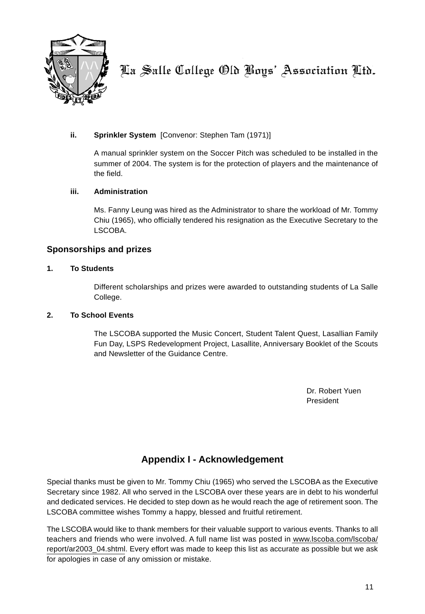

#### **ii. Sprinkler System** [Convenor: Stephen Tam (1971)]

A manual sprinkler system on the Soccer Pitch was scheduled to be installed in the summer of 2004. The system is for the protection of players and the maintenance of the field.

#### **iii. Administration**

Ms. Fanny Leung was hired as the Administrator to share the workload of Mr. Tommy Chiu (1965), who officially tendered his resignation as the Executive Secretary to the LSCOBA.

#### **Sponsorships and prizes**

#### **1. To Students**

Different scholarships and prizes were awarded to outstanding students of La Salle College.

#### **2. To School Events**

The LSCOBA supported the Music Concert, Student Talent Quest, Lasallian Family Fun Day, LSPS Redevelopment Project, Lasallite, Anniversary Booklet of the Scouts and Newsletter of the Guidance Centre.

> Dr. Robert Yuen President

### **Appendix I - Acknowledgement**

Special thanks must be given to Mr. Tommy Chiu (1965) who served the LSCOBA as the Executive Secretary since 1982. All who served in the LSCOBA over these years are in debt to his wonderful and dedicated services. He decided to step down as he would reach the age of retirement soon. The LSCOBA committee wishes Tommy a happy, blessed and fruitful retirement.

The LSCOBA would like to thank members for their valuable support to various events. Thanks to all teachers and friends who were involved. A full name list was posted in www.lscoba.com/lscoba/ report/ar2003\_04.shtml. Every effort was made to keep this list as accurate as possible but we ask for apologies in case of any omission or mistake.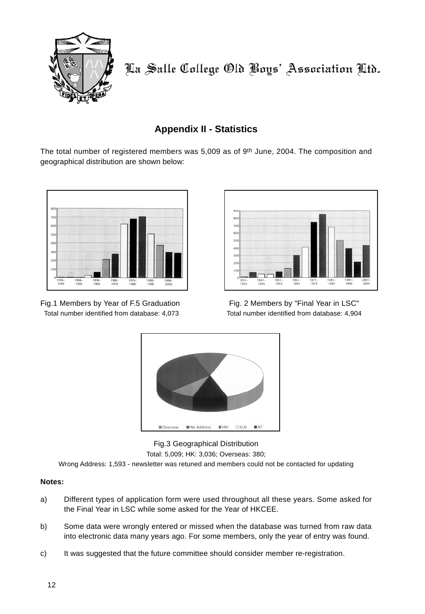

# **Appendix II - Statistics**

The total number of registered members was  $5,009$  as of  $9<sup>th</sup>$  June, 2004. The composition and geographical distribution are shown below:



Fig.1 Members by Year of F.5 Graduation Fig. 2 Members by "Final Year in LSC" Total number identified from database: 4,073 Total number identified from database: 4,904





Fig.3 Geographical Distribution Total: 5,009; HK: 3,036; Overseas: 380;

Wrong Address: 1,593 - newsletter was retuned and members could not be contacted for updating

#### **Notes:**

- a) Different types of application form were used throughout all these years. Some asked for the Final Year in LSC while some asked for the Year of HKCEE.
- b) Some data were wrongly entered or missed when the database was turned from raw data into electronic data many years ago. For some members, only the year of entry was found.
- c) It was suggested that the future committee should consider member re-registration.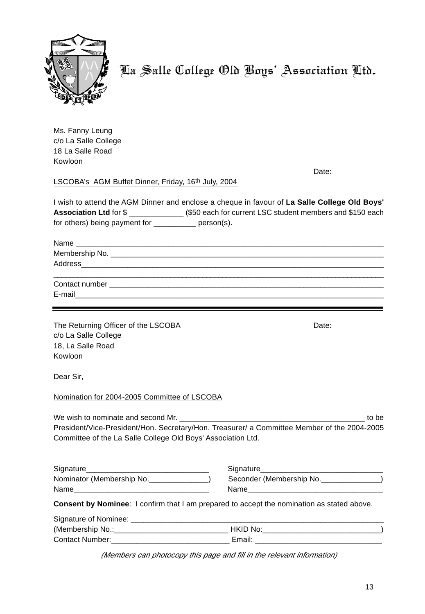

Ms. Fanny Leung c/o La Salle College 18 La Salle Road Kowloon

Date:

LSCOBA's AGM Buffet Dinner, Friday, 16th July, 2004

I wish to attend the AGM Dinner and enclose a cheque in favour of **La Salle College Old Boys' Association Ltd** for \$  $($  \$50 each for current LSC student members and \$150 each for others) being payment for \_\_\_\_\_\_\_\_\_\_ person(s).

Name \_\_\_\_\_\_\_\_\_\_\_\_\_\_\_\_\_\_\_\_\_\_\_\_\_\_\_\_\_\_\_\_\_\_\_\_\_\_\_\_\_\_\_\_\_\_\_\_\_\_\_\_\_\_\_\_\_\_\_\_\_\_\_\_\_\_\_\_\_\_\_\_\_ Membership No. Address

| Contact number |  |  |  |
|----------------|--|--|--|
| E-mail         |  |  |  |

The Returning Officer of the LSCOBA Date: c/o La Salle College 18, La Salle Road Kowloon

Dear Sir,

Nomination for 2004-2005 Committee of LSCOBA

We wish to nominate and second Mr. \_\_\_\_\_\_\_\_\_\_\_\_\_\_\_\_\_\_\_\_\_\_\_\_\_\_\_\_\_\_\_\_\_\_\_\_\_\_\_\_\_\_\_\_ to be President/Vice-President/Hon. Secretary/Hon. Treasurer/ a Committee Member of the 2004-2005 Committee of the La Salle College Old Boys' Association Ltd.

| Signature                 | Signature                |
|---------------------------|--------------------------|
| Nominator (Membership No. | Seconder (Membership No. |
| Name                      | Name                     |

er (Membership No.\_\_\_\_ Name\_\_\_\_\_\_\_\_\_\_\_\_\_\_\_\_\_\_\_\_\_\_\_\_\_\_\_\_\_\_\_\_ Name\_\_\_\_\_\_\_\_\_\_\_\_\_\_\_\_\_\_\_\_\_\_\_\_\_\_\_\_\_\_\_\_

**Consent by Nominee**: I confirm that I am prepared to accept the nomination as stated above.

Signature of Nominee: \_\_\_\_\_\_\_\_\_\_\_\_\_\_\_\_\_\_\_\_\_\_\_\_\_\_\_\_\_\_\_\_\_\_\_\_\_\_\_\_\_\_\_\_\_\_\_\_\_\_\_\_\_\_\_\_\_\_\_\_

| (Membership No.:       | HK II I<br>. No |
|------------------------|-----------------|
| <b>Contact Number:</b> | ⊢mai′           |

(Members can photocopy this page and fill in the relevant information)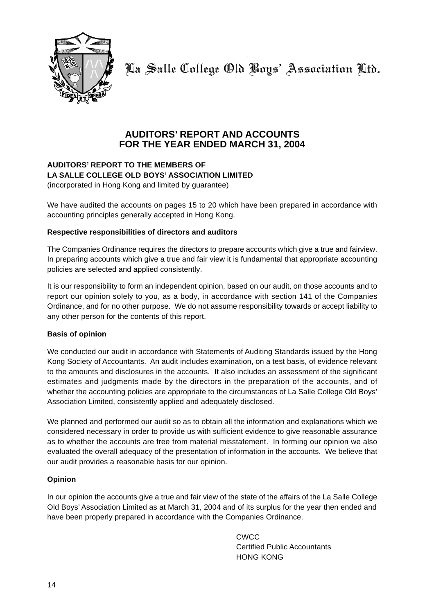

### **AUDITORS' REPORT AND ACCOUNTS FOR THE YEAR ENDED MARCH 31, 2004**

#### **AUDITORS' REPORT TO THE MEMBERS OF LA SALLE COLLEGE OLD BOYS' ASSOCIATION LIMITED** (incorporated in Hong Kong and limited by guarantee)

We have audited the accounts on pages 15 to 20 which have been prepared in accordance with accounting principles generally accepted in Hong Kong.

#### **Respective responsibilities of directors and auditors**

The Companies Ordinance requires the directors to prepare accounts which give a true and fairview. In preparing accounts which give a true and fair view it is fundamental that appropriate accounting policies are selected and applied consistently.

It is our responsibility to form an independent opinion, based on our audit, on those accounts and to report our opinion solely to you, as a body, in accordance with section 141 of the Companies Ordinance, and for no other purpose. We do not assume responsibility towards or accept liability to any other person for the contents of this report.

#### **Basis of opinion**

We conducted our audit in accordance with Statements of Auditing Standards issued by the Hong Kong Society of Accountants. An audit includes examination, on a test basis, of evidence relevant to the amounts and disclosures in the accounts. It also includes an assessment of the significant estimates and judgments made by the directors in the preparation of the accounts, and of whether the accounting policies are appropriate to the circumstances of La Salle College Old Boys' Association Limited, consistently applied and adequately disclosed.

We planned and performed our audit so as to obtain all the information and explanations which we considered necessary in order to provide us with sufficient evidence to give reasonable assurance as to whether the accounts are free from material misstatement. In forming our opinion we also evaluated the overall adequacy of the presentation of information in the accounts. We believe that our audit provides a reasonable basis for our opinion.

#### **Opinion**

In our opinion the accounts give a true and fair view of the state of the affairs of the La Salle College Old Boys' Association Limited as at March 31, 2004 and of its surplus for the year then ended and have been properly prepared in accordance with the Companies Ordinance.

> CWCC Certified Public Accountants HONG KONG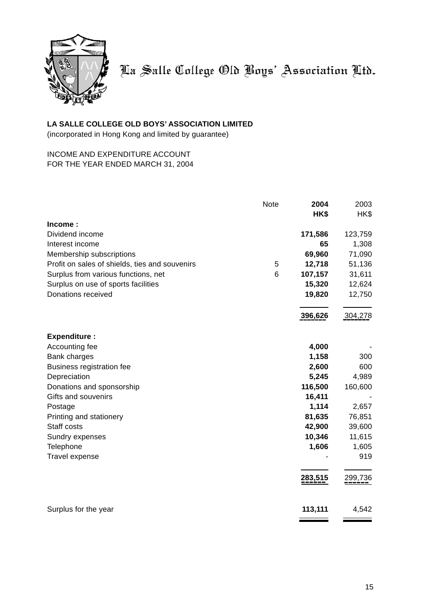

### **LA SALLE COLLEGE OLD BOYS' ASSOCIATION LIMITED**

(incorporated in Hong Kong and limited by guarantee)

#### INCOME AND EXPENDITURE ACCOUNT FOR THE YEAR ENDED MARCH 31, 2004

|                                                | Note | 2004    | 2003    |
|------------------------------------------------|------|---------|---------|
| Income:                                        |      | HK\$    | HK\$    |
| Dividend income                                |      | 171,586 | 123,759 |
| Interest income                                |      | 65      | 1,308   |
| Membership subscriptions                       |      | 69,960  | 71,090  |
| Profit on sales of shields, ties and souvenirs | 5    | 12,718  | 51,136  |
| Surplus from various functions, net            | 6    | 107,157 | 31,611  |
| Surplus on use of sports facilities            |      | 15,320  | 12,624  |
| Donations received                             |      | 19,820  | 12,750  |
|                                                |      | 396,626 | 304,278 |
|                                                |      |         |         |
| <b>Expenditure:</b>                            |      |         |         |
| Accounting fee                                 |      | 4,000   |         |
| Bank charges                                   |      | 1,158   | 300     |
| Business registration fee                      |      | 2,600   | 600     |
| Depreciation                                   |      | 5,245   | 4,989   |
| Donations and sponsorship                      |      | 116,500 | 160,600 |
| Gifts and souvenirs                            |      | 16,411  |         |
| Postage                                        |      | 1,114   | 2,657   |
| Printing and stationery                        |      | 81,635  | 76,851  |
| Staff costs                                    |      | 42,900  | 39,600  |
| Sundry expenses                                |      | 10,346  | 11,615  |
| Telephone                                      |      | 1,606   | 1,605   |
| Travel expense                                 |      |         | 919     |
|                                                |      | 283,515 | 299,736 |
| Surplus for the year                           |      | 113,111 | 4,542   |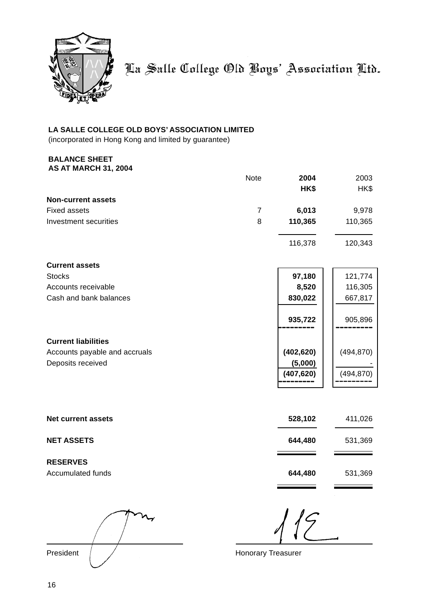

### **LA SALLE COLLEGE OLD BOYS' ASSOCIATION LIMITED**

(incorporated in Hong Kong and limited by guarantee)

#### **BALANCE SHEET AS AT MARCH 31, 2004**

|                               | <b>Note</b>    | 2004<br>HK\$ | 2003<br>HK\$ |
|-------------------------------|----------------|--------------|--------------|
| <b>Non-current assets</b>     |                |              |              |
| <b>Fixed assets</b>           | $\overline{7}$ | 6,013        | 9,978        |
| Investment securities         | 8              | 110,365      | 110,365      |
|                               |                | 116,378      | 120,343      |
| <b>Current assets</b>         |                |              |              |
| <b>Stocks</b>                 |                | 97,180       | 121,774      |
| Accounts receivable           |                | 8,520        | 116,305      |
| Cash and bank balances        |                | 830,022      | 667,817      |
|                               |                | 935,722      | 905,896      |
| <b>Current liabilities</b>    |                |              |              |
| Accounts payable and accruals |                | (402, 620)   | (494, 870)   |
| Deposits received             |                | (5,000)      |              |
|                               |                | (407, 620)   | (494, 870)   |
|                               |                |              |              |
| <b>Net current assets</b>     |                | 528,102      | 411,026      |
| <b>NET ASSETS</b>             |                | 644,480      | 531,369      |

**RESERVES** Accumulated funds **644,480** 531,369

President / / Cassette Contract American Honorary Treasurer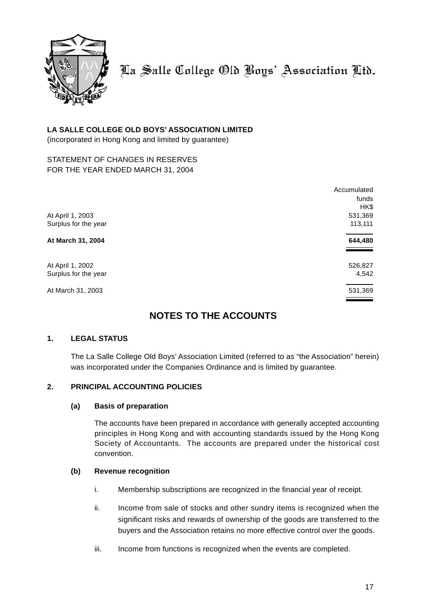

#### **LA SALLE COLLEGE OLD BOYS' ASSOCIATION LIMITED**

(incorporated in Hong Kong and limited by guarantee)

#### STATEMENT OF CHANGES IN RESERVES FOR THE YEAR ENDED MARCH 31, 2004

|                      | Accumulated |
|----------------------|-------------|
|                      | funds       |
|                      | HK\$        |
| At April 1, 2003     | 531,369     |
| Surplus for the year | 113,111     |
| At March 31, 2004    | 644,480     |
| At April 1, 2002     | 526,827     |
| Surplus for the year | 4,542       |
| At March 31, 2003    | 531,369     |

### **NOTES TO THE ACCOUNTS**

#### **1. LEGAL STATUS**

The La Salle College Old Boys' Association Limited (referred to as "the Association" herein) was incorporated under the Companies Ordinance and is limited by guarantee.

#### **2. PRINCIPAL ACCOUNTING POLICIES**

#### **(a) Basis of preparation**

The accounts have been prepared in accordance with generally accepted accounting principles in Hong Kong and with accounting standards issued by the Hong Kong Society of Accountants. The accounts are prepared under the historical cost convention.

#### **(b) Revenue recognition**

- i. Membership subscriptions are recognized in the financial year of receipt.
- ii. Income from sale of stocks and other sundry items is recognized when the significant risks and rewards of ownership of the goods are transferred to the buyers and the Association retains no more effective control over the goods.
- iii. Income from functions is recognized when the events are completed.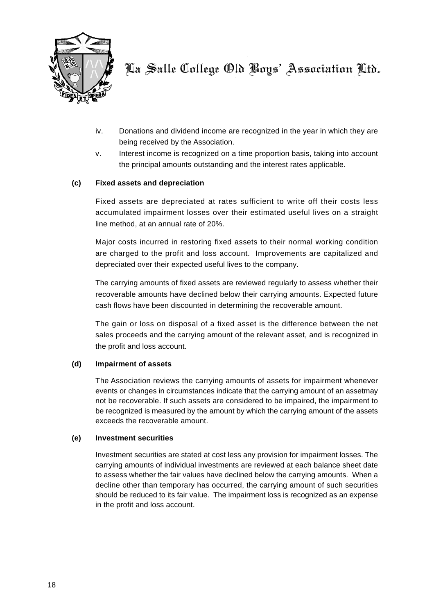

- iv. Donations and dividend income are recognized in the year in which they are being received by the Association.
- v. Interest income is recognized on a time proportion basis, taking into account the principal amounts outstanding and the interest rates applicable.

#### **(c) Fixed assets and depreciation**

Fixed assets are depreciated at rates sufficient to write off their costs less accumulated impairment losses over their estimated useful lives on a straight line method, at an annual rate of 20%.

Major costs incurred in restoring fixed assets to their normal working condition are charged to the profit and loss account. Improvements are capitalized and depreciated over their expected useful lives to the company.

The carrying amounts of fixed assets are reviewed regularly to assess whether their recoverable amounts have declined below their carrying amounts. Expected future cash flows have been discounted in determining the recoverable amount.

The gain or loss on disposal of a fixed asset is the difference between the net sales proceeds and the carrying amount of the relevant asset, and is recognized in the profit and loss account.

#### **(d) Impairment of assets**

The Association reviews the carrying amounts of assets for impairment whenever events or changes in circumstances indicate that the carrying amount of an assetmay not be recoverable. If such assets are considered to be impaired, the impairment to be recognized is measured by the amount by which the carrying amount of the assets exceeds the recoverable amount.

#### **(e) Investment securities**

Investment securities are stated at cost less any provision for impairment losses. The carrying amounts of individual investments are reviewed at each balance sheet date to assess whether the fair values have declined below the carrying amounts. When a decline other than temporary has occurred, the carrying amount of such securities should be reduced to its fair value. The impairment loss is recognized as an expense in the profit and loss account.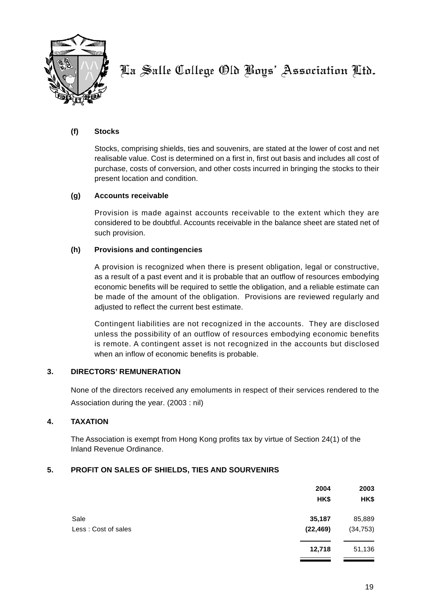

#### **(f) Stocks**

Stocks, comprising shields, ties and souvenirs, are stated at the lower of cost and net realisable value. Cost is determined on a first in, first out basis and includes all cost of purchase, costs of conversion, and other costs incurred in bringing the stocks to their present location and condition.

#### **(g) Accounts receivable**

Provision is made against accounts receivable to the extent which they are considered to be doubtful. Accounts receivable in the balance sheet are stated net of such provision.

#### **(h) Provisions and contingencies**

A provision is recognized when there is present obligation, legal or constructive, as a result of a past event and it is probable that an outflow of resources embodying economic benefits will be required to settle the obligation, and a reliable estimate can be made of the amount of the obligation. Provisions are reviewed regularly and adjusted to reflect the current best estimate.

Contingent liabilities are not recognized in the accounts. They are disclosed unless the possibility of an outflow of resources embodying economic benefits is remote. A contingent asset is not recognized in the accounts but disclosed when an inflow of economic benefits is probable.

#### **3. DIRECTORS' REMUNERATION**

None of the directors received any emoluments in respect of their services rendered to the Association during the year. (2003 : nil)

#### **4. TAXATION**

The Association is exempt from Hong Kong profits tax by virtue of Section 24(1) of the Inland Revenue Ordinance.

#### **5. PROFIT ON SALES OF SHIELDS, TIES AND SOURVENIRS**

|                             | 2004<br>HK\$        | 2003<br>HK\$        |
|-----------------------------|---------------------|---------------------|
| Sale<br>Less: Cost of sales | 35,187<br>(22, 469) | 85,889<br>(34, 753) |
|                             | 12,718              | 51,136              |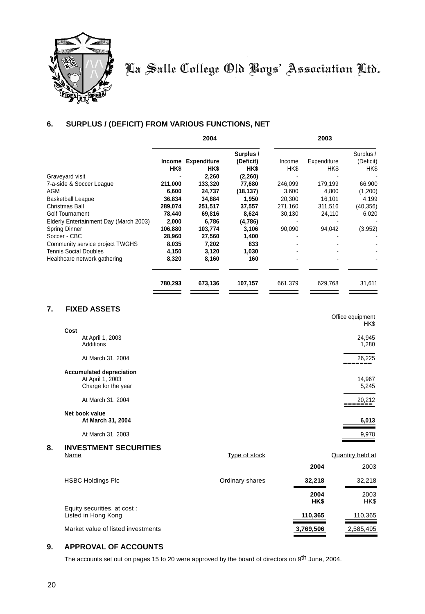

#### **6. SURPLUS / (DEFICIT) FROM VARIOUS FUNCTIONS, NET**

|         | 2004            |                                                          |                               | 2003           |                        |
|---------|-----------------|----------------------------------------------------------|-------------------------------|----------------|------------------------|
|         |                 | Surplus /                                                |                               |                | Surplus /<br>(Deficit) |
|         |                 |                                                          |                               |                | HK\$                   |
|         |                 |                                                          |                               |                |                        |
|         |                 | 77,680                                                   | 246,099                       | 179,199        | 66,900                 |
| 6,600   | 24,737          | (18, 137)                                                | 3,600                         | 4,800          | (1,200)                |
| 36,834  | 34,884          | 1.950                                                    | 20,300                        | 16,101         | 4,199                  |
| 289,074 | 251,517         | 37,557                                                   | 271,160                       | 311,516        | (40, 356)              |
| 78,440  | 69,816          | 8,624                                                    | 30,130                        | 24,110         | 6,020                  |
| 2,000   | 6,786           | (4,786)                                                  |                               |                |                        |
| 106,880 | 103,774         | 3,106                                                    | 90,090                        | 94,042         | (3,952)                |
| 28,960  | 27,560          | 1,400                                                    |                               |                |                        |
| 8,035   | 7,202           | 833                                                      |                               |                |                        |
| 4,150   | 3,120           | 1,030                                                    |                               |                |                        |
| 8,320   | 8,160           | 160                                                      |                               |                |                        |
| 780,293 | 673,136         | 107,157                                                  | 661,379                       | 629,768        | 31,611                 |
|         | HK\$<br>211,000 | <b>Expenditure</b><br>Income<br>HK\$<br>2,260<br>133,320 | (Deficit)<br>HK\$<br>(2, 260) | Income<br>HK\$ | Expenditure<br>HK\$    |

### **7. FIXED ASSETS**

|    |                                 |                 |         | Office equipment<br>HK\$ |
|----|---------------------------------|-----------------|---------|--------------------------|
|    | Cost                            |                 |         |                          |
|    | At April 1, 2003                |                 |         | 24,945                   |
|    | <b>Additions</b>                |                 |         | 1,280                    |
|    | At March 31, 2004               |                 |         | 26,225                   |
|    | <b>Accumulated depreciation</b> |                 |         |                          |
|    | At April 1, 2003                |                 |         | 14,967                   |
|    | Charge for the year             |                 |         | 5,245                    |
|    | At March 31, 2004               |                 |         | 20,212                   |
|    | Net book value                  |                 |         |                          |
|    | At March 31, 2004               |                 |         | 6,013                    |
|    | At March 31, 2003               |                 |         | 9,978                    |
| 8. | <b>INVESTMENT SECURITIES</b>    |                 |         |                          |
|    | Name                            | Type of stock   |         | <b>Quantity held at</b>  |
|    |                                 |                 | 2004    | 2003                     |
|    | <b>HSBC Holdings Plc</b>        | Ordinary shares | 32,218  | 32,218                   |
|    |                                 |                 | 2004    | 2003                     |
|    |                                 |                 | HK\$    | HK\$                     |
|    | Equity securities, at cost:     |                 |         |                          |
|    | Listed in Hong Kong             |                 | 110,365 | 110,365                  |
|    |                                 |                 |         |                          |

Market value of listed investments **3,769,506** 2,585,495

#### **9. APPROVAL OF ACCOUNTS**

The accounts set out on pages 15 to 20 were approved by the board of directors on 9<sup>th</sup> June, 2004.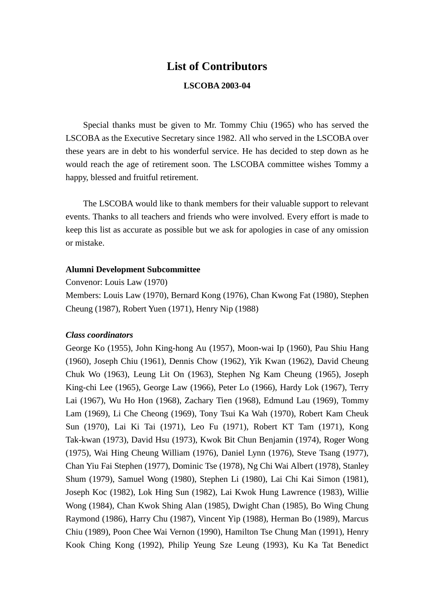# **List of Contributors LSCOBA 2003-04**

Special thanks must be given to Mr. Tommy Chiu (1965) who has served the LSCOBA as the Executive Secretary since 1982. All who served in the LSCOBA over these years are in debt to his wonderful service. He has decided to step down as he would reach the age of retirement soon. The LSCOBA committee wishes Tommy a happy, blessed and fruitful retirement.

The LSCOBA would like to thank members for their valuable support to relevant events. Thanks to all teachers and friends who were involved. Every effort is made to keep this list as accurate as possible but we ask for apologies in case of any omission or mistake.

### **Alumni Development Subcommittee**

Convenor: Louis Law (1970)

Members: Louis Law (1970), Bernard Kong (1976), Chan Kwong Fat (1980), Stephen Cheung (1987), Robert Yuen (1971), Henry Nip (1988)

### *Class coordinators*

George Ko (1955), John King-hong Au (1957), Moon-wai Ip (1960), Pau Shiu Hang (1960), Joseph Chiu (1961), Dennis Chow (1962), Yik Kwan (1962), David Cheung Chuk Wo (1963), Leung Lit On (1963), Stephen Ng Kam Cheung (1965), Joseph King-chi Lee (1965), George Law (1966), Peter Lo (1966), Hardy Lok (1967), Terry Lai (1967), Wu Ho Hon (1968), Zachary Tien (1968), Edmund Lau (1969), Tommy Lam (1969), Li Che Cheong (1969), Tony Tsui Ka Wah (1970), Robert Kam Cheuk Sun (1970), Lai Ki Tai (1971), Leo Fu (1971), Robert KT Tam (1971), Kong Tak-kwan (1973), David Hsu (1973), Kwok Bit Chun Benjamin (1974), Roger Wong (1975), Wai Hing Cheung William (1976), Daniel Lynn (1976), Steve Tsang (1977), Chan Yiu Fai Stephen (1977), Dominic Tse (1978), Ng Chi Wai Albert (1978), Stanley Shum (1979), Samuel Wong (1980), Stephen Li (1980), Lai Chi Kai Simon (1981), Joseph Koc (1982), Lok Hing Sun (1982), Lai Kwok Hung Lawrence (1983), Willie Wong (1984), Chan Kwok Shing Alan (1985), Dwight Chan (1985), Bo Wing Chung Raymond (1986), Harry Chu (1987), Vincent Yip (1988), Herman Bo (1989), Marcus Chiu (1989), Poon Chee Wai Vernon (1990), Hamilton Tse Chung Man (1991), Henry Kook Ching Kong (1992), Philip Yeung Sze Leung (1993), Ku Ka Tat Benedict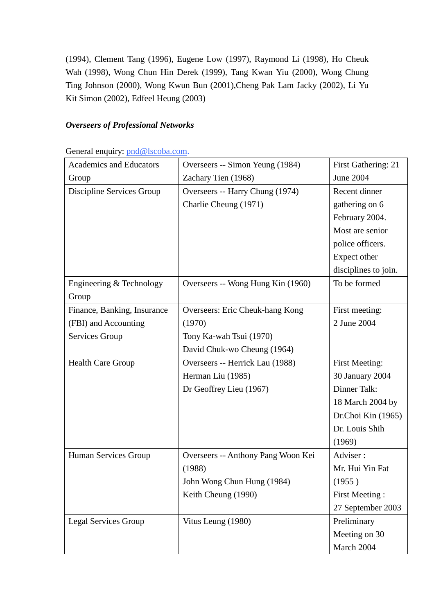(1994), Clement Tang (1996), Eugene Low (1997), Raymond Li (1998), Ho Cheuk Wah (1998), Wong Chun Hin Derek (1999), Tang Kwan Yiu (2000), Wong Chung Ting Johnson (2000), Wong Kwun Bun (2001),Cheng Pak Lam Jacky (2002), Li Yu Kit Simon (2002), Edfeel Heung (2003)

# *Overseers of Professional Networks*

General enquiry: pnd@lscoba.com.

| <b>Academics and Educators</b> | Overseers -- Simon Yeung (1984)    | First Gathering: 21   |
|--------------------------------|------------------------------------|-----------------------|
| Group                          | Zachary Tien (1968)                | <b>June 2004</b>      |
| Discipline Services Group      | Overseers -- Harry Chung (1974)    | Recent dinner         |
|                                | Charlie Cheung (1971)              | gathering on 6        |
|                                |                                    | February 2004.        |
|                                |                                    | Most are senior       |
|                                |                                    | police officers.      |
|                                |                                    | Expect other          |
|                                |                                    | disciplines to join.  |
| Engineering & Technology       | Overseers -- Wong Hung Kin (1960)  | To be formed          |
| Group                          |                                    |                       |
| Finance, Banking, Insurance    | Overseers: Eric Cheuk-hang Kong    | First meeting:        |
| (FBI) and Accounting           | (1970)                             | 2 June 2004           |
| Services Group                 | Tony Ka-wah Tsui (1970)            |                       |
|                                | David Chuk-wo Cheung (1964)        |                       |
| <b>Health Care Group</b>       | Overseers -- Herrick Lau (1988)    | <b>First Meeting:</b> |
|                                | Herman Liu (1985)                  | 30 January 2004       |
|                                | Dr Geoffrey Lieu (1967)            | Dinner Talk:          |
|                                |                                    | 18 March 2004 by      |
|                                |                                    | Dr.Choi Kin (1965)    |
|                                |                                    | Dr. Louis Shih        |
|                                |                                    | (1969)                |
| Human Services Group           | Overseers -- Anthony Pang Woon Kei | Adviser:              |
|                                | (1988)                             | Mr. Hui Yin Fat       |
|                                | John Wong Chun Hung (1984)         | (1955)                |
|                                | Keith Cheung (1990)                | First Meeting:        |
|                                |                                    | 27 September 2003     |
| <b>Legal Services Group</b>    | Vitus Leung (1980)                 | Preliminary           |
|                                |                                    | Meeting on 30         |
|                                |                                    | March 2004            |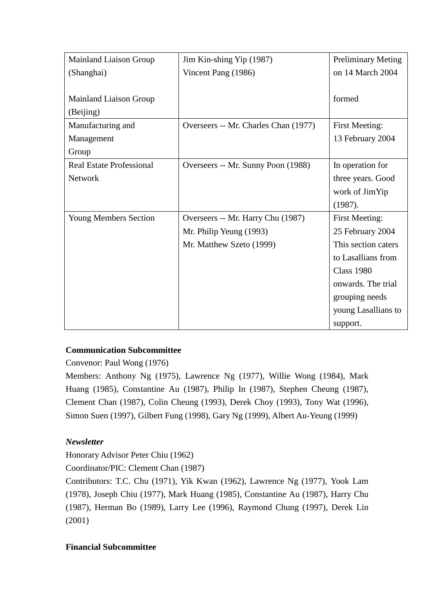| <b>Mainland Liaison Group</b>   | Jim Kin-shing Yip (1987)             | <b>Preliminary Meting</b> |
|---------------------------------|--------------------------------------|---------------------------|
| (Shanghai)                      | Vincent Pang (1986)                  | on 14 March 2004          |
|                                 |                                      |                           |
| <b>Mainland Liaison Group</b>   |                                      | formed                    |
| (Beijing)                       |                                      |                           |
| Manufacturing and               | Overseers -- Mr. Charles Chan (1977) | <b>First Meeting:</b>     |
| Management                      |                                      | 13 February 2004          |
| Group                           |                                      |                           |
| <b>Real Estate Professional</b> | Overseers -- Mr. Sunny Poon (1988)   | In operation for          |
| <b>Network</b>                  |                                      | three years. Good         |
|                                 |                                      | work of JimYip            |
|                                 |                                      | (1987).                   |
| <b>Young Members Section</b>    | Overseers -- Mr. Harry Chu (1987)    | <b>First Meeting:</b>     |
|                                 | Mr. Philip Yeung (1993)              | 25 February 2004          |
|                                 | Mr. Matthew Szeto (1999)             | This section caters       |
|                                 |                                      | to Lasallians from        |
|                                 |                                      | <b>Class 1980</b>         |
|                                 |                                      | onwards. The trial        |
|                                 |                                      | grouping needs            |
|                                 |                                      | young Lasallians to       |
|                                 |                                      | support.                  |

# **Communication Subcommittee**

Convenor: Paul Wong (1976)

Members: Anthony Ng (1975), Lawrence Ng (1977), Willie Wong (1984), Mark Huang (1985), Constantine Au (1987), Philip In (1987), Stephen Cheung (1987), Clement Chan (1987), Colin Cheung (1993), Derek Choy (1993), Tony Wat (1996), Simon Suen (1997), Gilbert Fung (1998), Gary Ng (1999), Albert Au-Yeung (1999)

# *Newsletter*

Honorary Advisor Peter Chiu (1962)

Coordinator/PIC: Clement Chan (1987)

Contributors: T.C. Chu (1971), Yik Kwan (1962), Lawrence Ng (1977), Yook Lam (1978), Joseph Chiu (1977), Mark Huang (1985), Constantine Au (1987), Harry Chu (1987), Herman Bo (1989), Larry Lee (1996), Raymond Chung (1997), Derek Lin (2001)

# **Financial Subcommittee**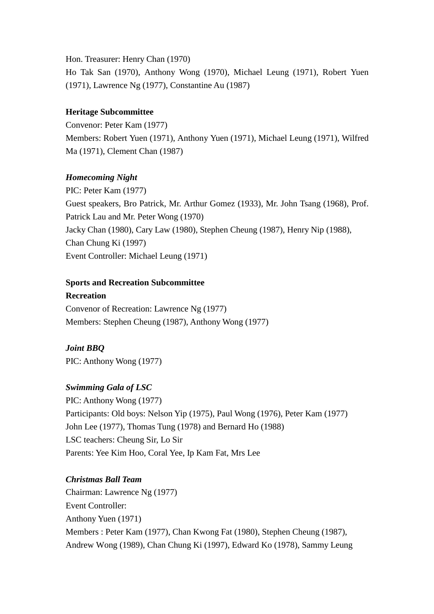Hon. Treasurer: Henry Chan (1970) Ho Tak San (1970), Anthony Wong (1970), Michael Leung (1971), Robert Yuen (1971), Lawrence Ng (1977), Constantine Au (1987)

# **Heritage Subcommittee**

Convenor: Peter Kam (1977) Members: Robert Yuen (1971), Anthony Yuen (1971), Michael Leung (1971), Wilfred Ma (1971), Clement Chan (1987)

# *Homecoming Night*

PIC: Peter Kam (1977) Guest speakers, Bro Patrick, Mr. Arthur Gomez (1933), Mr. John Tsang (1968), Prof. Patrick Lau and Mr. Peter Wong (1970) Jacky Chan (1980), Cary Law (1980), Stephen Cheung (1987), Henry Nip (1988), Chan Chung Ki (1997) Event Controller: Michael Leung (1971)

# **Sports and Recreation Subcommittee**

**Recreation**  Convenor of Recreation: Lawrence Ng (1977) Members: Stephen Cheung (1987), Anthony Wong (1977)

# *Joint BBQ*

PIC: Anthony Wong (1977)

# *Swimming Gala of LSC*

PIC: Anthony Wong (1977) Participants: Old boys: Nelson Yip (1975), Paul Wong (1976), Peter Kam (1977) John Lee (1977), Thomas Tung (1978) and Bernard Ho (1988) LSC teachers: Cheung Sir, Lo Sir Parents: Yee Kim Hoo, Coral Yee, Ip Kam Fat, Mrs Lee

# *Christmas Ball Team*

Chairman: Lawrence Ng (1977) Event Controller: Anthony Yuen (1971) Members : Peter Kam (1977), Chan Kwong Fat (1980), Stephen Cheung (1987), Andrew Wong (1989), Chan Chung Ki (1997), Edward Ko (1978), Sammy Leung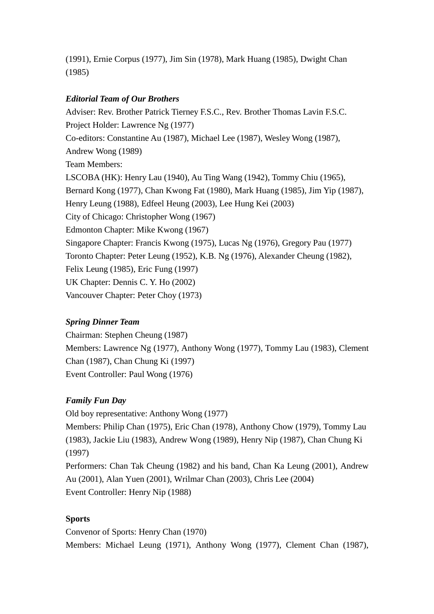(1991), Ernie Corpus (1977), Jim Sin (1978), Mark Huang (1985), Dwight Chan (1985)

# *Editorial Team of Our Brothers*

Adviser: Rev. Brother Patrick Tierney F.S.C., Rev. Brother Thomas Lavin F.S.C. Project Holder: Lawrence Ng (1977) Co-editors: Constantine Au (1987), Michael Lee (1987), Wesley Wong (1987), Andrew Wong (1989) Team Members: LSCOBA (HK): Henry Lau (1940), Au Ting Wang (1942), Tommy Chiu (1965), Bernard Kong (1977), Chan Kwong Fat (1980), Mark Huang (1985), Jim Yip (1987), Henry Leung (1988), Edfeel Heung (2003), Lee Hung Kei (2003) City of Chicago: Christopher Wong (1967) Edmonton Chapter: Mike Kwong (1967) Singapore Chapter: Francis Kwong (1975), Lucas Ng (1976), Gregory Pau (1977) Toronto Chapter: Peter Leung (1952), K.B. Ng (1976), Alexander Cheung (1982), Felix Leung (1985), Eric Fung (1997) UK Chapter: Dennis C. Y. Ho (2002) Vancouver Chapter: Peter Choy (1973)

# *Spring Dinner Team*

Chairman: Stephen Cheung (1987) Members: Lawrence Ng (1977), Anthony Wong (1977), Tommy Lau (1983), Clement Chan (1987), Chan Chung Ki (1997) Event Controller: Paul Wong (1976)

# *Family Fun Day*

Old boy representative: Anthony Wong (1977) Members: Philip Chan (1975), Eric Chan (1978), Anthony Chow (1979), Tommy Lau (1983), Jackie Liu (1983), Andrew Wong (1989), Henry Nip (1987), Chan Chung Ki (1997) Performers: Chan Tak Cheung (1982) and his band, Chan Ka Leung (2001), Andrew Au (2001), Alan Yuen (2001), Wrilmar Chan (2003), Chris Lee (2004) Event Controller: Henry Nip (1988)

# **Sports**

Convenor of Sports: Henry Chan (1970) Members: Michael Leung (1971), Anthony Wong (1977), Clement Chan (1987),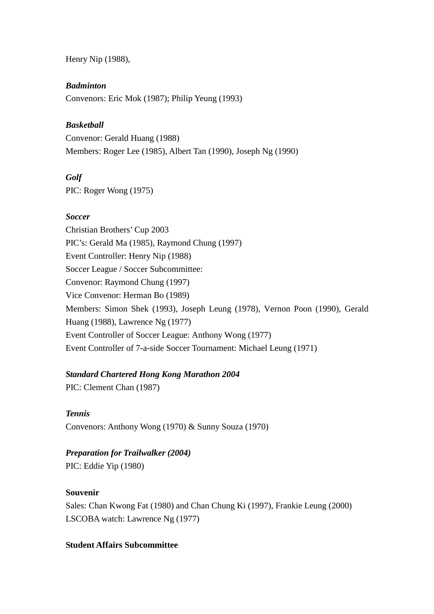Henry Nip (1988),

# *Badminton*

Convenors: Eric Mok (1987); Philip Yeung (1993)

# *Basketball*

Convenor: Gerald Huang (1988) Members: Roger Lee (1985), Albert Tan (1990), Joseph Ng (1990)

# *Golf*

PIC: Roger Wong (1975)

# *Soccer*

Christian Brothers' Cup 2003 PIC's: Gerald Ma (1985), Raymond Chung (1997) Event Controller: Henry Nip (1988) Soccer League / Soccer Subcommittee: Convenor: Raymond Chung (1997) Vice Convenor: Herman Bo (1989) Members: Simon Shek (1993), Joseph Leung (1978), Vernon Poon (1990), Gerald Huang (1988), Lawrence Ng (1977) Event Controller of Soccer League: Anthony Wong (1977) Event Controller of 7-a-side Soccer Tournament: Michael Leung (1971)

# *Standard Chartered Hong Kong Marathon 2004*

PIC: Clement Chan (1987)

*Tennis*  Convenors: Anthony Wong (1970) & Sunny Souza (1970)

# *Preparation for Trailwalker (2004)*

PIC: Eddie Yip (1980)

# **Souvenir**

Sales: Chan Kwong Fat (1980) and Chan Chung Ki (1997), Frankie Leung (2000) LSCOBA watch: Lawrence Ng (1977)

# **Student Affairs Subcommittee**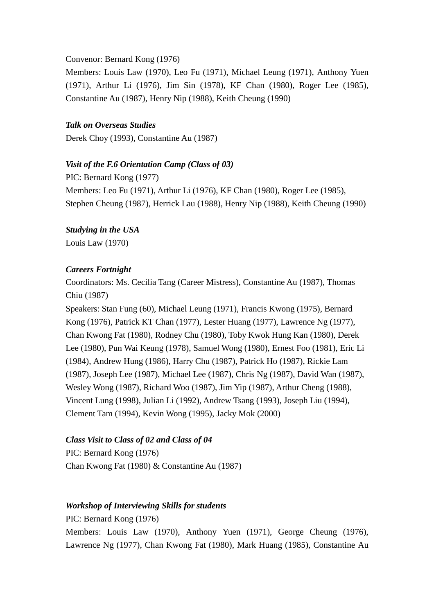### Convenor: Bernard Kong (1976)

Members: Louis Law (1970), Leo Fu (1971), Michael Leung (1971), Anthony Yuen (1971), Arthur Li (1976), Jim Sin (1978), KF Chan (1980), Roger Lee (1985), Constantine Au (1987), Henry Nip (1988), Keith Cheung (1990)

### *Talk on Overseas Studies*

Derek Choy (1993), Constantine Au (1987)

### *Visit of the F.6 Orientation Camp (Class of 03)*

PIC: Bernard Kong (1977) Members: Leo Fu (1971), Arthur Li (1976), KF Chan (1980), Roger Lee (1985), Stephen Cheung (1987), Herrick Lau (1988), Henry Nip (1988), Keith Cheung (1990)

*Studying in the USA*  Louis Law (1970)

### *Careers Fortnight*

Coordinators: Ms. Cecilia Tang (Career Mistress), Constantine Au (1987), Thomas Chiu (1987)

Speakers: Stan Fung (60), Michael Leung (1971), Francis Kwong (1975), Bernard Kong (1976), Patrick KT Chan (1977), Lester Huang (1977), Lawrence Ng (1977), Chan Kwong Fat (1980), Rodney Chu (1980), Toby Kwok Hung Kan (1980), Derek Lee (1980), Pun Wai Keung (1978), Samuel Wong (1980), Ernest Foo (1981), Eric Li (1984), Andrew Hung (1986), Harry Chu (1987), Patrick Ho (1987), Rickie Lam (1987), Joseph Lee (1987), Michael Lee (1987), Chris Ng (1987), David Wan (1987), Wesley Wong (1987), Richard Woo (1987), Jim Yip (1987), Arthur Cheng (1988), Vincent Lung (1998), Julian Li (1992), Andrew Tsang (1993), Joseph Liu (1994), Clement Tam (1994), Kevin Wong (1995), Jacky Mok (2000)

### *Class Visit to Class of 02 and Class of 04*

PIC: Bernard Kong (1976) Chan Kwong Fat (1980) & Constantine Au (1987)

### *Workshop of Interviewing Skills for students*

PIC: Bernard Kong (1976)

Members: Louis Law (1970), Anthony Yuen (1971), George Cheung (1976), Lawrence Ng (1977), Chan Kwong Fat (1980), Mark Huang (1985), Constantine Au